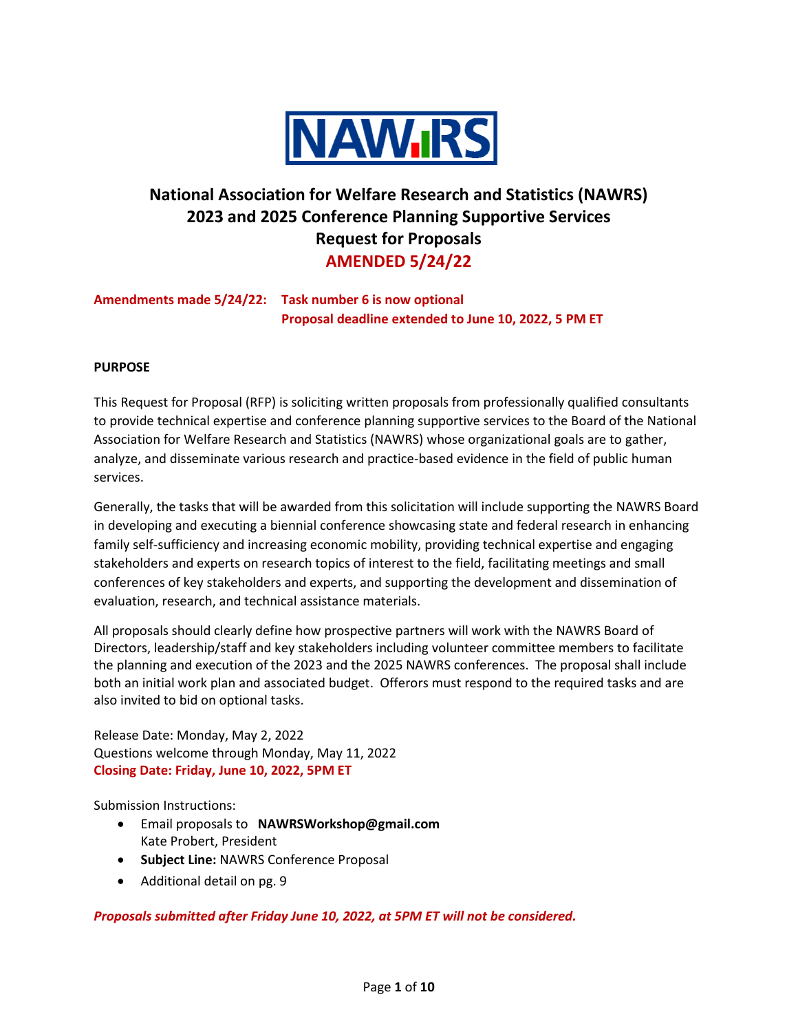

# **National Association for Welfare Research and Statistics (NAWRS) 2023 and 2025 Conference Planning Supportive Services Request for Proposals AMENDED 5/24/22**

# **Amendments made 5/24/22: Task number 6 is now optional Proposal deadline extended to June 10, 2022, 5 PM ET**

## **PURPOSE**

This Request for Proposal (RFP) is soliciting written proposals from professionally qualified consultants to provide technical expertise and conference planning supportive services to the Board of the National Association for Welfare Research and Statistics (NAWRS) whose organizational goals are to gather, analyze, and disseminate various research and practice-based evidence in the field of public human services.

Generally, the tasks that will be awarded from this solicitation will include supporting the NAWRS Board in developing and executing a biennial conference showcasing state and federal research in enhancing family self-sufficiency and increasing economic mobility, providing technical expertise and engaging stakeholders and experts on research topics of interest to the field, facilitating meetings and small conferences of key stakeholders and experts, and supporting the development and dissemination of evaluation, research, and technical assistance materials.

All proposals should clearly define how prospective partners will work with the NAWRS Board of Directors, leadership/staff and key stakeholders including volunteer committee members to facilitate the planning and execution of the 2023 and the 2025 NAWRS conferences. The proposal shall include both an initial work plan and associated budget. Offerors must respond to the required tasks and are also invited to bid on optional tasks.

Release Date: Monday, May 2, 2022 Questions welcome through Monday, May 11, 2022 **Closing Date: Friday, June 10, 2022, 5PM ET**

Submission Instructions:

- Email proposals to **NAWRSWorkshop@gmail.com** Kate Probert, President
- **Subject Line:** NAWRS Conference Proposal
- Additional detail on pg. 9

*Proposals submitted after Friday June 10, 2022, at 5PM ET will not be considered.*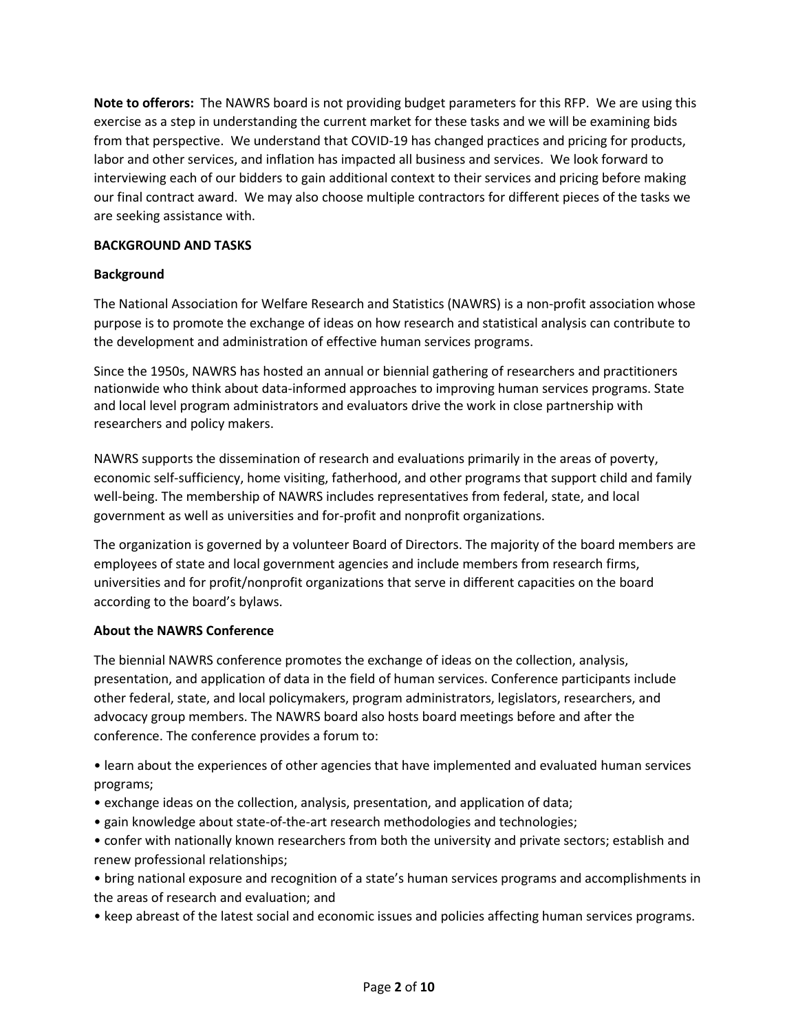**Note to offerors:** The NAWRS board is not providing budget parameters for this RFP. We are using this exercise as a step in understanding the current market for these tasks and we will be examining bids from that perspective. We understand that COVID-19 has changed practices and pricing for products, labor and other services, and inflation has impacted all business and services. We look forward to interviewing each of our bidders to gain additional context to their services and pricing before making our final contract award. We may also choose multiple contractors for different pieces of the tasks we are seeking assistance with.

#### **BACKGROUND AND TASKS**

## **Background**

The National Association for Welfare Research and Statistics (NAWRS) is a non-profit association whose purpose is to promote the exchange of ideas on how research and statistical analysis can contribute to the development and administration of effective human services programs.

Since the 1950s, NAWRS has hosted an annual or biennial gathering of researchers and practitioners nationwide who think about data-informed approaches to improving human services programs. State and local level program administrators and evaluators drive the work in close partnership with researchers and policy makers.

NAWRS supports the dissemination of research and evaluations primarily in the areas of poverty, economic self-sufficiency, home visiting, fatherhood, and other programs that support child and family well-being. The membership of NAWRS includes representatives from federal, state, and local government as well as universities and for-profit and nonprofit organizations.

The organization is governed by a volunteer Board of Directors. The majority of the board members are employees of state and local government agencies and include members from research firms, universities and for profit/nonprofit organizations that serve in different capacities on the board according to the board's bylaws.

# **About the NAWRS Conference**

The biennial NAWRS conference promotes the exchange of ideas on the collection, analysis, presentation, and application of data in the field of human services. Conference participants include other federal, state, and local policymakers, program administrators, legislators, researchers, and advocacy group members. The NAWRS board also hosts board meetings before and after the conference. The conference provides a forum to:

• learn about the experiences of other agencies that have implemented and evaluated human services programs;

- exchange ideas on the collection, analysis, presentation, and application of data;
- gain knowledge about state-of-the-art research methodologies and technologies;
- confer with nationally known researchers from both the university and private sectors; establish and renew professional relationships;

• bring national exposure and recognition of a state's human services programs and accomplishments in the areas of research and evaluation; and

• keep abreast of the latest social and economic issues and policies affecting human services programs.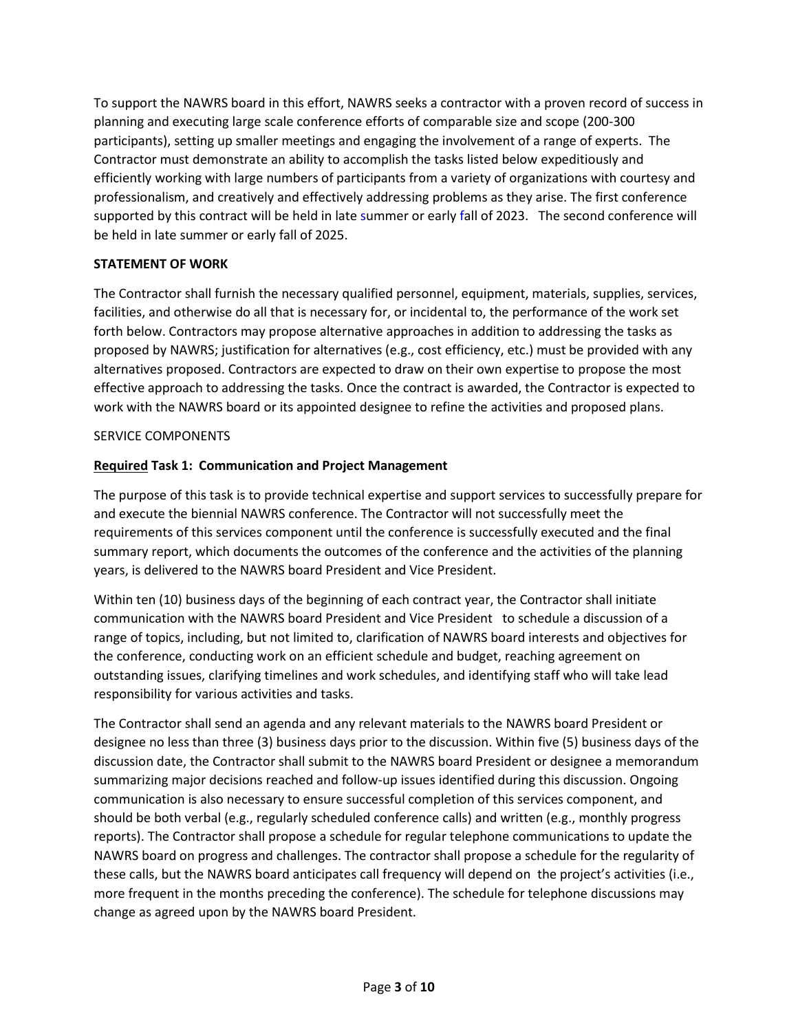To support the NAWRS board in this effort, NAWRS seeks a contractor with a proven record of success in planning and executing large scale conference efforts of comparable size and scope (200-300 participants), setting up smaller meetings and engaging the involvement of a range of experts. The Contractor must demonstrate an ability to accomplish the tasks listed below expeditiously and efficiently working with large numbers of participants from a variety of organizations with courtesy and professionalism, and creatively and effectively addressing problems as they arise. The first conference supported by this contract will be held in late summer or early fall of 2023. The second conference will be held in late summer or early fall of 2025.

## **STATEMENT OF WORK**

The Contractor shall furnish the necessary qualified personnel, equipment, materials, supplies, services, facilities, and otherwise do all that is necessary for, or incidental to, the performance of the work set forth below. Contractors may propose alternative approaches in addition to addressing the tasks as proposed by NAWRS; justification for alternatives (e.g., cost efficiency, etc.) must be provided with any alternatives proposed. Contractors are expected to draw on their own expertise to propose the most effective approach to addressing the tasks. Once the contract is awarded, the Contractor is expected to work with the NAWRS board or its appointed designee to refine the activities and proposed plans.

#### SERVICE COMPONENTS

## **Required Task 1: Communication and Project Management**

The purpose of this task is to provide technical expertise and support services to successfully prepare for and execute the biennial NAWRS conference. The Contractor will not successfully meet the requirements of this services component until the conference is successfully executed and the final summary report, which documents the outcomes of the conference and the activities of the planning years, is delivered to the NAWRS board President and Vice President.

Within ten (10) business days of the beginning of each contract year, the Contractor shall initiate communication with the NAWRS board President and Vice President to schedule a discussion of a range of topics, including, but not limited to, clarification of NAWRS board interests and objectives for the conference, conducting work on an efficient schedule and budget, reaching agreement on outstanding issues, clarifying timelines and work schedules, and identifying staff who will take lead responsibility for various activities and tasks.

The Contractor shall send an agenda and any relevant materials to the NAWRS board President or designee no less than three (3) business days prior to the discussion. Within five (5) business days of the discussion date, the Contractor shall submit to the NAWRS board President or designee a memorandum summarizing major decisions reached and follow-up issues identified during this discussion. Ongoing communication is also necessary to ensure successful completion of this services component, and should be both verbal (e.g., regularly scheduled conference calls) and written (e.g., monthly progress reports). The Contractor shall propose a schedule for regular telephone communications to update the NAWRS board on progress and challenges. The contractor shall propose a schedule for the regularity of these calls, but the NAWRS board anticipates call frequency will depend on the project's activities (i.e., more frequent in the months preceding the conference). The schedule for telephone discussions may change as agreed upon by the NAWRS board President.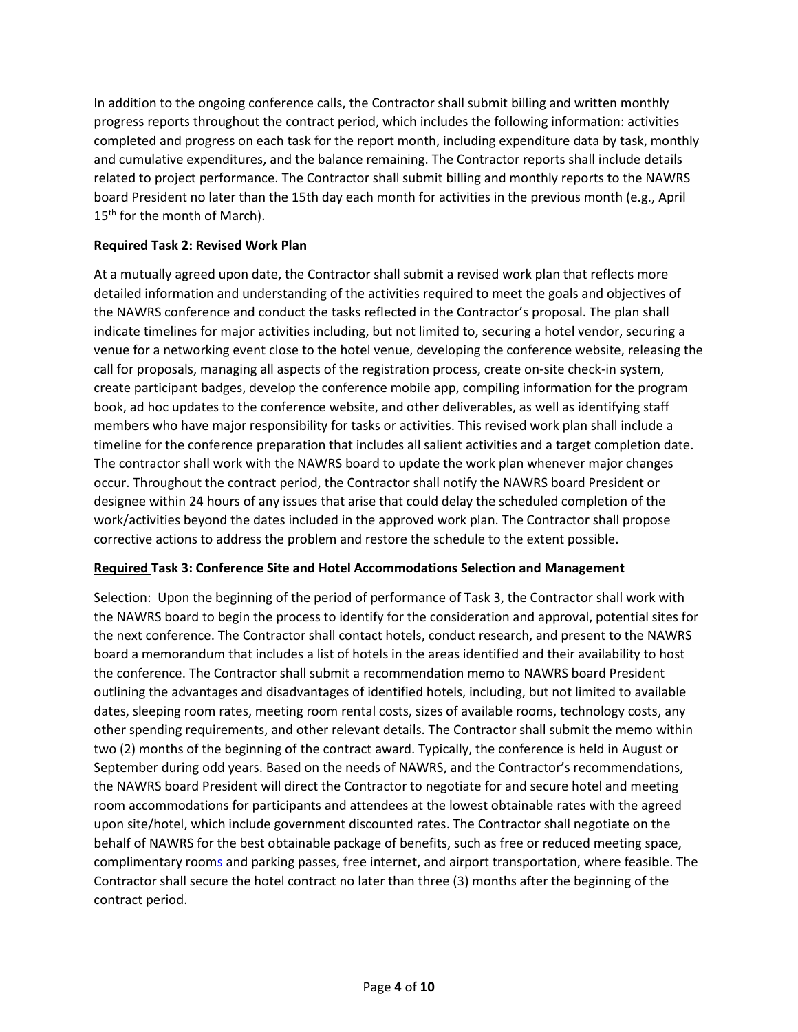In addition to the ongoing conference calls, the Contractor shall submit billing and written monthly progress reports throughout the contract period, which includes the following information: activities completed and progress on each task for the report month, including expenditure data by task, monthly and cumulative expenditures, and the balance remaining. The Contractor reports shall include details related to project performance. The Contractor shall submit billing and monthly reports to the NAWRS board President no later than the 15th day each month for activities in the previous month (e.g., April  $15<sup>th</sup>$  for the month of March).

## **Required Task 2: Revised Work Plan**

At a mutually agreed upon date, the Contractor shall submit a revised work plan that reflects more detailed information and understanding of the activities required to meet the goals and objectives of the NAWRS conference and conduct the tasks reflected in the Contractor's proposal. The plan shall indicate timelines for major activities including, but not limited to, securing a hotel vendor, securing a venue for a networking event close to the hotel venue, developing the conference website, releasing the call for proposals, managing all aspects of the registration process, create on-site check-in system, create participant badges, develop the conference mobile app, compiling information for the program book, ad hoc updates to the conference website, and other deliverables, as well as identifying staff members who have major responsibility for tasks or activities. This revised work plan shall include a timeline for the conference preparation that includes all salient activities and a target completion date. The contractor shall work with the NAWRS board to update the work plan whenever major changes occur. Throughout the contract period, the Contractor shall notify the NAWRS board President or designee within 24 hours of any issues that arise that could delay the scheduled completion of the work/activities beyond the dates included in the approved work plan. The Contractor shall propose corrective actions to address the problem and restore the schedule to the extent possible.

#### **Required Task 3: Conference Site and Hotel Accommodations Selection and Management**

Selection: Upon the beginning of the period of performance of Task 3, the Contractor shall work with the NAWRS board to begin the process to identify for the consideration and approval, potential sites for the next conference. The Contractor shall contact hotels, conduct research, and present to the NAWRS board a memorandum that includes a list of hotels in the areas identified and their availability to host the conference. The Contractor shall submit a recommendation memo to NAWRS board President outlining the advantages and disadvantages of identified hotels, including, but not limited to available dates, sleeping room rates, meeting room rental costs, sizes of available rooms, technology costs, any other spending requirements, and other relevant details. The Contractor shall submit the memo within two (2) months of the beginning of the contract award. Typically, the conference is held in August or September during odd years. Based on the needs of NAWRS, and the Contractor's recommendations, the NAWRS board President will direct the Contractor to negotiate for and secure hotel and meeting room accommodations for participants and attendees at the lowest obtainable rates with the agreed upon site/hotel, which include government discounted rates. The Contractor shall negotiate on the behalf of NAWRS for the best obtainable package of benefits, such as free or reduced meeting space, complimentary rooms and parking passes, free internet, and airport transportation, where feasible. The Contractor shall secure the hotel contract no later than three (3) months after the beginning of the contract period.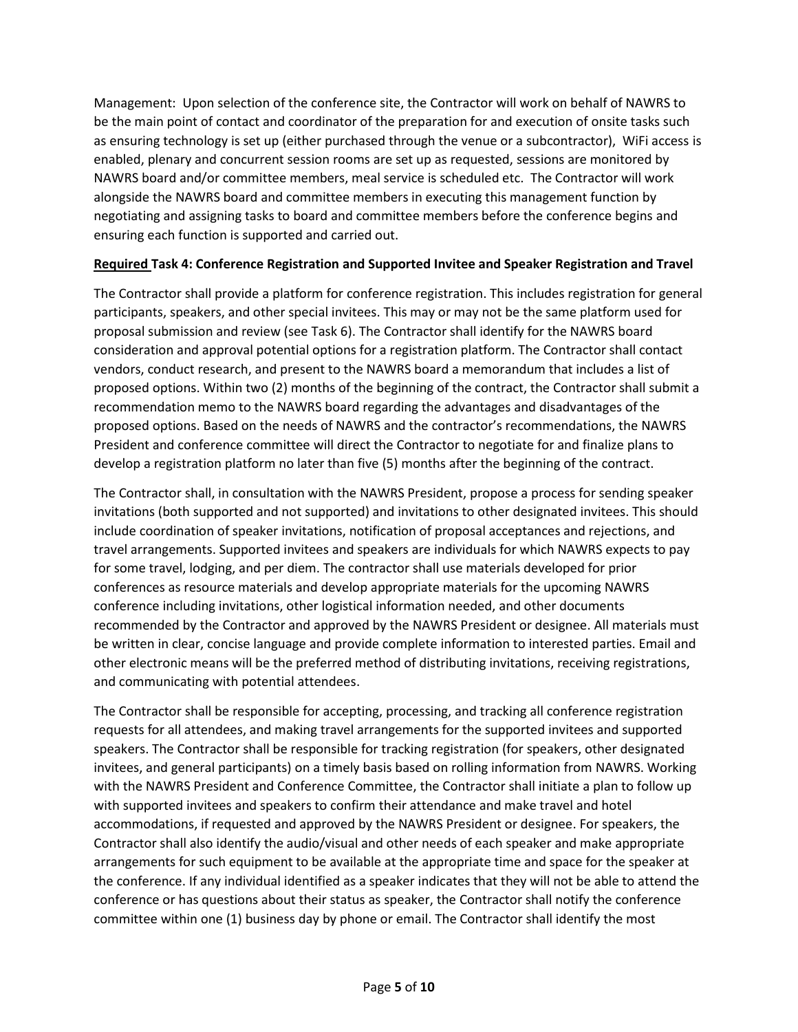Management: Upon selection of the conference site, the Contractor will work on behalf of NAWRS to be the main point of contact and coordinator of the preparation for and execution of onsite tasks such as ensuring technology is set up (either purchased through the venue or a subcontractor), WiFi access is enabled, plenary and concurrent session rooms are set up as requested, sessions are monitored by NAWRS board and/or committee members, meal service is scheduled etc. The Contractor will work alongside the NAWRS board and committee members in executing this management function by negotiating and assigning tasks to board and committee members before the conference begins and ensuring each function is supported and carried out.

## **Required Task 4: Conference Registration and Supported Invitee and Speaker Registration and Travel**

The Contractor shall provide a platform for conference registration. This includes registration for general participants, speakers, and other special invitees. This may or may not be the same platform used for proposal submission and review (see Task 6). The Contractor shall identify for the NAWRS board consideration and approval potential options for a registration platform. The Contractor shall contact vendors, conduct research, and present to the NAWRS board a memorandum that includes a list of proposed options. Within two (2) months of the beginning of the contract, the Contractor shall submit a recommendation memo to the NAWRS board regarding the advantages and disadvantages of the proposed options. Based on the needs of NAWRS and the contractor's recommendations, the NAWRS President and conference committee will direct the Contractor to negotiate for and finalize plans to develop a registration platform no later than five (5) months after the beginning of the contract.

The Contractor shall, in consultation with the NAWRS President, propose a process for sending speaker invitations (both supported and not supported) and invitations to other designated invitees. This should include coordination of speaker invitations, notification of proposal acceptances and rejections, and travel arrangements. Supported invitees and speakers are individuals for which NAWRS expects to pay for some travel, lodging, and per diem. The contractor shall use materials developed for prior conferences as resource materials and develop appropriate materials for the upcoming NAWRS conference including invitations, other logistical information needed, and other documents recommended by the Contractor and approved by the NAWRS President or designee. All materials must be written in clear, concise language and provide complete information to interested parties. Email and other electronic means will be the preferred method of distributing invitations, receiving registrations, and communicating with potential attendees.

The Contractor shall be responsible for accepting, processing, and tracking all conference registration requests for all attendees, and making travel arrangements for the supported invitees and supported speakers. The Contractor shall be responsible for tracking registration (for speakers, other designated invitees, and general participants) on a timely basis based on rolling information from NAWRS. Working with the NAWRS President and Conference Committee, the Contractor shall initiate a plan to follow up with supported invitees and speakers to confirm their attendance and make travel and hotel accommodations, if requested and approved by the NAWRS President or designee. For speakers, the Contractor shall also identify the audio/visual and other needs of each speaker and make appropriate arrangements for such equipment to be available at the appropriate time and space for the speaker at the conference. If any individual identified as a speaker indicates that they will not be able to attend the conference or has questions about their status as speaker, the Contractor shall notify the conference committee within one (1) business day by phone or email. The Contractor shall identify the most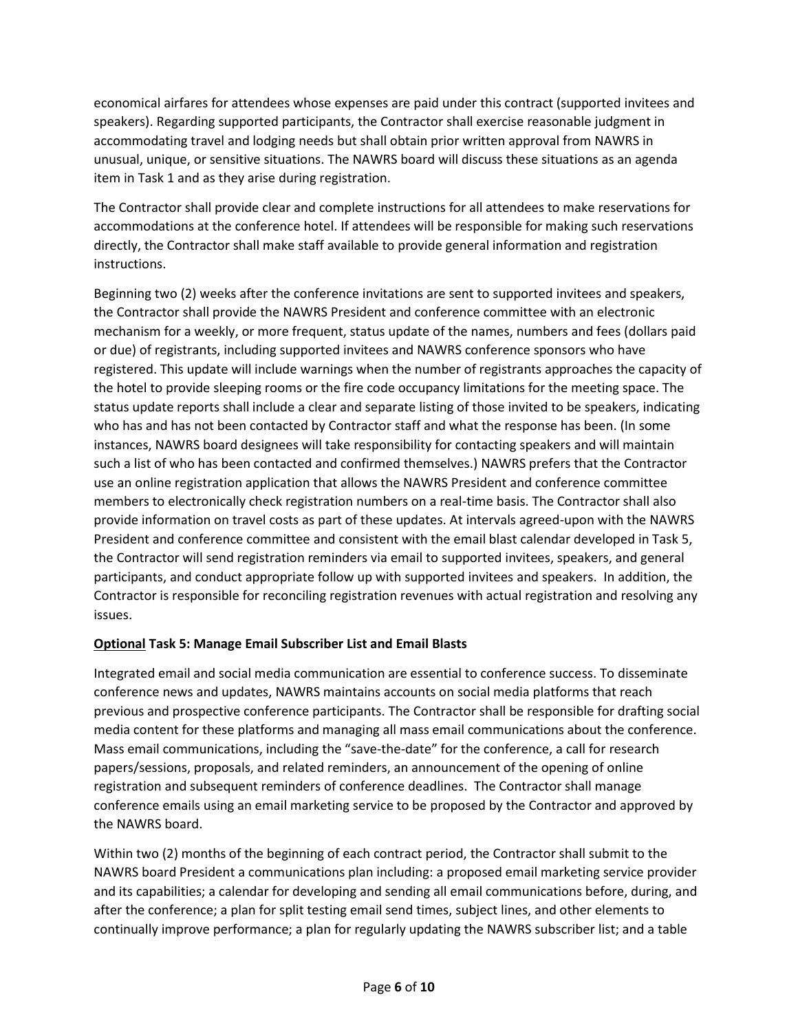economical airfares for attendees whose expenses are paid under this contract (supported invitees and speakers). Regarding supported participants, the Contractor shall exercise reasonable judgment in accommodating travel and lodging needs but shall obtain prior written approval from NAWRS in unusual, unique, or sensitive situations. The NAWRS board will discuss these situations as an agenda item in Task 1 and as they arise during registration.

The Contractor shall provide clear and complete instructions for all attendees to make reservations for accommodations at the conference hotel. If attendees will be responsible for making such reservations directly, the Contractor shall make staff available to provide general information and registration instructions.

Beginning two (2) weeks after the conference invitations are sent to supported invitees and speakers, the Contractor shall provide the NAWRS President and conference committee with an electronic mechanism for a weekly, or more frequent, status update of the names, numbers and fees (dollars paid or due) of registrants, including supported invitees and NAWRS conference sponsors who have registered. This update will include warnings when the number of registrants approaches the capacity of the hotel to provide sleeping rooms or the fire code occupancy limitations for the meeting space. The status update reports shall include a clear and separate listing of those invited to be speakers, indicating who has and has not been contacted by Contractor staff and what the response has been. (In some instances, NAWRS board designees will take responsibility for contacting speakers and will maintain such a list of who has been contacted and confirmed themselves.) NAWRS prefers that the Contractor use an online registration application that allows the NAWRS President and conference committee members to electronically check registration numbers on a real-time basis. The Contractor shall also provide information on travel costs as part of these updates. At intervals agreed-upon with the NAWRS President and conference committee and consistent with the email blast calendar developed in Task 5, the Contractor will send registration reminders via email to supported invitees, speakers, and general participants, and conduct appropriate follow up with supported invitees and speakers. In addition, the Contractor is responsible for reconciling registration revenues with actual registration and resolving any issues.

# **Optional Task 5: Manage Email Subscriber List and Email Blasts**

Integrated email and social media communication are essential to conference success. To disseminate conference news and updates, NAWRS maintains accounts on social media platforms that reach previous and prospective conference participants. The Contractor shall be responsible for drafting social media content for these platforms and managing all mass email communications about the conference. Mass email communications, including the "save-the-date" for the conference, a call for research papers/sessions, proposals, and related reminders, an announcement of the opening of online registration and subsequent reminders of conference deadlines. The Contractor shall manage conference emails using an email marketing service to be proposed by the Contractor and approved by the NAWRS board.

Within two (2) months of the beginning of each contract period, the Contractor shall submit to the NAWRS board President a communications plan including: a proposed email marketing service provider and its capabilities; a calendar for developing and sending all email communications before, during, and after the conference; a plan for split testing email send times, subject lines, and other elements to continually improve performance; a plan for regularly updating the NAWRS subscriber list; and a table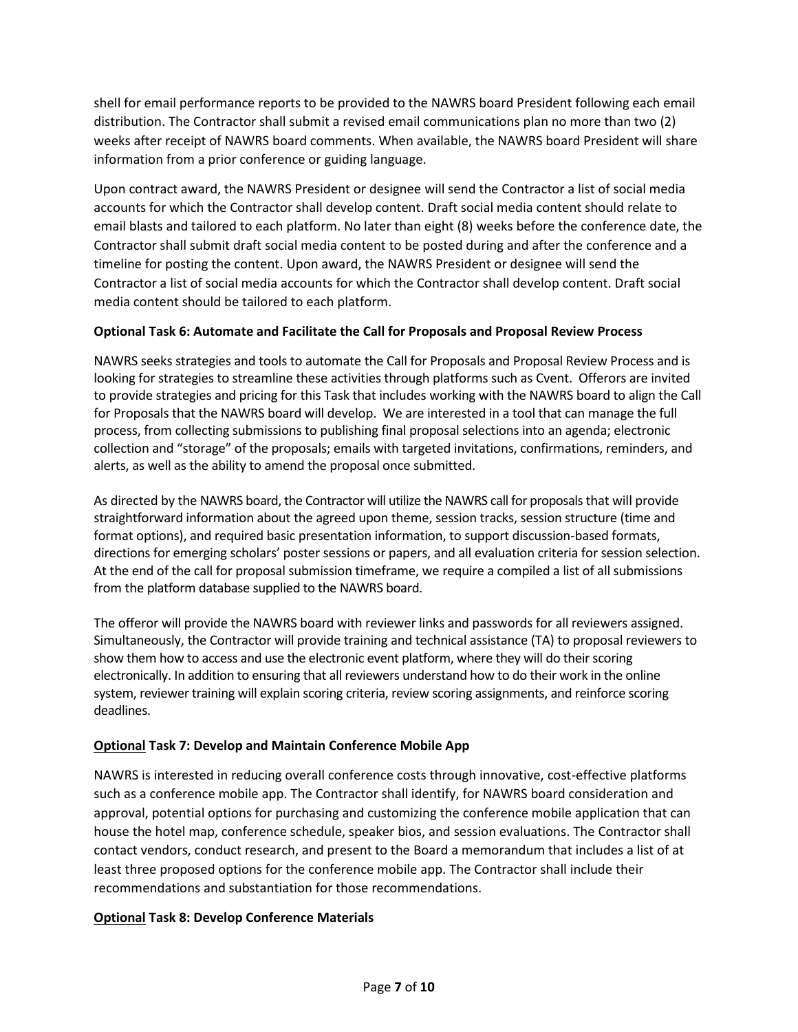shell for email performance reports to be provided to the NAWRS board President following each email distribution. The Contractor shall submit a revised email communications plan no more than two (2) weeks after receipt of NAWRS board comments. When available, the NAWRS board President will share information from a prior conference or guiding language.

Upon contract award, the NAWRS President or designee will send the Contractor a list of social media accounts for which the Contractor shall develop content. Draft social media content should relate to email blasts and tailored to each platform. No later than eight (8) weeks before the conference date, the Contractor shall submit draft social media content to be posted during and after the conference and a timeline for posting the content. Upon award, the NAWRS President or designee will send the Contractor a list of social media accounts for which the Contractor shall develop content. Draft social media content should be tailored to each platform.

## **Optional Task 6: Automate and Facilitate the Call for Proposals and Proposal Review Process**

NAWRS seeks strategies and tools to automate the Call for Proposals and Proposal Review Process and is looking for strategies to streamline these activities through platforms such as Cvent. Offerors are invited to provide strategies and pricing for this Task that includes working with the NAWRS board to align the Call for Proposals that the NAWRS board will develop. We are interested in a tool that can manage the full process, from collecting submissions to publishing final proposal selections into an agenda; electronic collection and "storage" of the proposals; emails with targeted invitations, confirmations, reminders, and alerts, as well as the ability to amend the proposal once submitted.

As directed by the NAWRS board, the Contractor will utilize the NAWRS call for proposalsthat will provide straightforward information about the agreed upon theme, session tracks, session structure (time and format options), and required basic presentation information, to support discussion-based formats, directions for emerging scholars' poster sessions or papers, and all evaluation criteria for session selection. At the end of the call for proposal submission timeframe, we require a compiled a list of all submissions from the platform database supplied to the NAWRS board.

The offeror will provide the NAWRS board with reviewer links and passwords for all reviewers assigned. Simultaneously, the Contractor will provide training and technical assistance (TA) to proposal reviewers to show them how to access and use the electronic event platform, where they will do their scoring electronically. In addition to ensuring that all reviewers understand how to do their work in the online system, reviewer training will explain scoring criteria, review scoring assignments, and reinforce scoring deadlines.

# **Optional Task 7: Develop and Maintain Conference Mobile App**

NAWRS is interested in reducing overall conference costs through innovative, cost-effective platforms such as a conference mobile app. The Contractor shall identify, for NAWRS board consideration and approval, potential options for purchasing and customizing the conference mobile application that can house the hotel map, conference schedule, speaker bios, and session evaluations. The Contractor shall contact vendors, conduct research, and present to the Board a memorandum that includes a list of at least three proposed options for the conference mobile app. The Contractor shall include their recommendations and substantiation for those recommendations.

#### **Optional Task 8: Develop Conference Materials**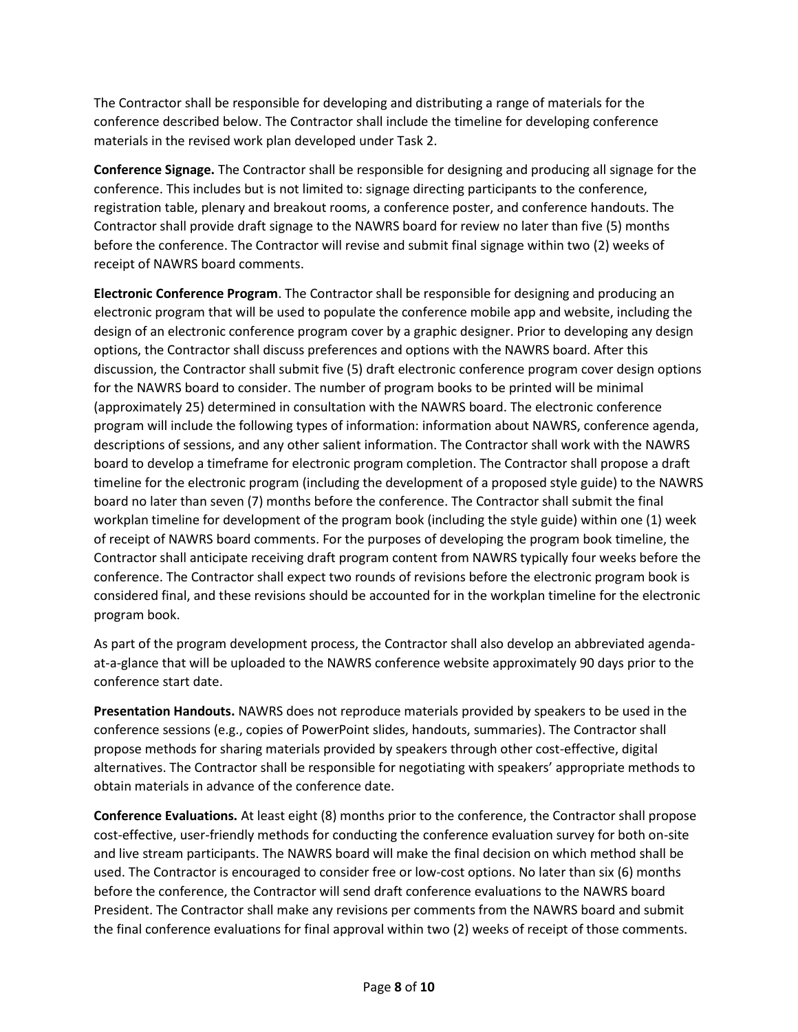The Contractor shall be responsible for developing and distributing a range of materials for the conference described below. The Contractor shall include the timeline for developing conference materials in the revised work plan developed under Task 2.

**Conference Signage.** The Contractor shall be responsible for designing and producing all signage for the conference. This includes but is not limited to: signage directing participants to the conference, registration table, plenary and breakout rooms, a conference poster, and conference handouts. The Contractor shall provide draft signage to the NAWRS board for review no later than five (5) months before the conference. The Contractor will revise and submit final signage within two (2) weeks of receipt of NAWRS board comments.

**Electronic Conference Program**. The Contractor shall be responsible for designing and producing an electronic program that will be used to populate the conference mobile app and website, including the design of an electronic conference program cover by a graphic designer. Prior to developing any design options, the Contractor shall discuss preferences and options with the NAWRS board. After this discussion, the Contractor shall submit five (5) draft electronic conference program cover design options for the NAWRS board to consider. The number of program books to be printed will be minimal (approximately 25) determined in consultation with the NAWRS board. The electronic conference program will include the following types of information: information about NAWRS, conference agenda, descriptions of sessions, and any other salient information. The Contractor shall work with the NAWRS board to develop a timeframe for electronic program completion. The Contractor shall propose a draft timeline for the electronic program (including the development of a proposed style guide) to the NAWRS board no later than seven (7) months before the conference. The Contractor shall submit the final workplan timeline for development of the program book (including the style guide) within one (1) week of receipt of NAWRS board comments. For the purposes of developing the program book timeline, the Contractor shall anticipate receiving draft program content from NAWRS typically four weeks before the conference. The Contractor shall expect two rounds of revisions before the electronic program book is considered final, and these revisions should be accounted for in the workplan timeline for the electronic program book.

As part of the program development process, the Contractor shall also develop an abbreviated agendaat-a-glance that will be uploaded to the NAWRS conference website approximately 90 days prior to the conference start date.

**Presentation Handouts.** NAWRS does not reproduce materials provided by speakers to be used in the conference sessions (e.g., copies of PowerPoint slides, handouts, summaries). The Contractor shall propose methods for sharing materials provided by speakers through other cost-effective, digital alternatives. The Contractor shall be responsible for negotiating with speakers' appropriate methods to obtain materials in advance of the conference date.

**Conference Evaluations.** At least eight (8) months prior to the conference, the Contractor shall propose cost-effective, user-friendly methods for conducting the conference evaluation survey for both on-site and live stream participants. The NAWRS board will make the final decision on which method shall be used. The Contractor is encouraged to consider free or low-cost options. No later than six (6) months before the conference, the Contractor will send draft conference evaluations to the NAWRS board President. The Contractor shall make any revisions per comments from the NAWRS board and submit the final conference evaluations for final approval within two (2) weeks of receipt of those comments.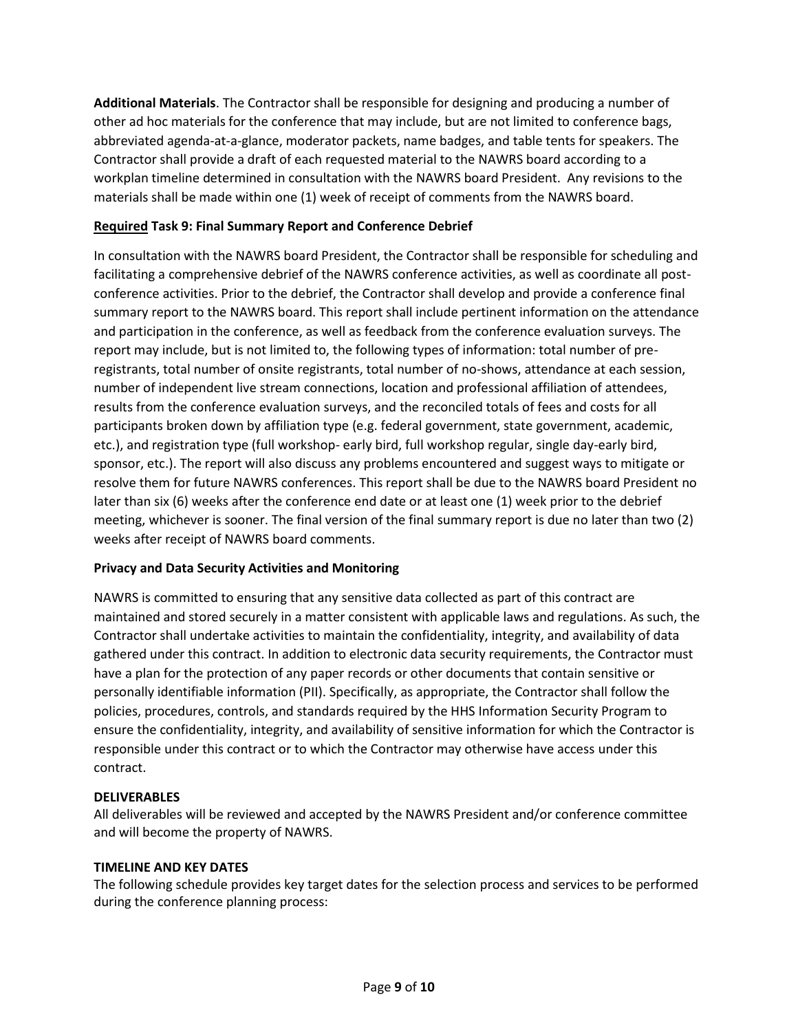**Additional Materials**. The Contractor shall be responsible for designing and producing a number of other ad hoc materials for the conference that may include, but are not limited to conference bags, abbreviated agenda-at-a-glance, moderator packets, name badges, and table tents for speakers. The Contractor shall provide a draft of each requested material to the NAWRS board according to a workplan timeline determined in consultation with the NAWRS board President. Any revisions to the materials shall be made within one (1) week of receipt of comments from the NAWRS board.

## **Required Task 9: Final Summary Report and Conference Debrief**

In consultation with the NAWRS board President, the Contractor shall be responsible for scheduling and facilitating a comprehensive debrief of the NAWRS conference activities, as well as coordinate all postconference activities. Prior to the debrief, the Contractor shall develop and provide a conference final summary report to the NAWRS board. This report shall include pertinent information on the attendance and participation in the conference, as well as feedback from the conference evaluation surveys. The report may include, but is not limited to, the following types of information: total number of preregistrants, total number of onsite registrants, total number of no-shows, attendance at each session, number of independent live stream connections, location and professional affiliation of attendees, results from the conference evaluation surveys, and the reconciled totals of fees and costs for all participants broken down by affiliation type (e.g. federal government, state government, academic, etc.), and registration type (full workshop- early bird, full workshop regular, single day-early bird, sponsor, etc.). The report will also discuss any problems encountered and suggest ways to mitigate or resolve them for future NAWRS conferences. This report shall be due to the NAWRS board President no later than six (6) weeks after the conference end date or at least one (1) week prior to the debrief meeting, whichever is sooner. The final version of the final summary report is due no later than two (2) weeks after receipt of NAWRS board comments.

# **Privacy and Data Security Activities and Monitoring**

NAWRS is committed to ensuring that any sensitive data collected as part of this contract are maintained and stored securely in a matter consistent with applicable laws and regulations. As such, the Contractor shall undertake activities to maintain the confidentiality, integrity, and availability of data gathered under this contract. In addition to electronic data security requirements, the Contractor must have a plan for the protection of any paper records or other documents that contain sensitive or personally identifiable information (PII). Specifically, as appropriate, the Contractor shall follow the policies, procedures, controls, and standards required by the HHS Information Security Program to ensure the confidentiality, integrity, and availability of sensitive information for which the Contractor is responsible under this contract or to which the Contractor may otherwise have access under this contract.

#### **DELIVERABLES**

All deliverables will be reviewed and accepted by the NAWRS President and/or conference committee and will become the property of NAWRS.

#### **TIMELINE AND KEY DATES**

The following schedule provides key target dates for the selection process and services to be performed during the conference planning process: